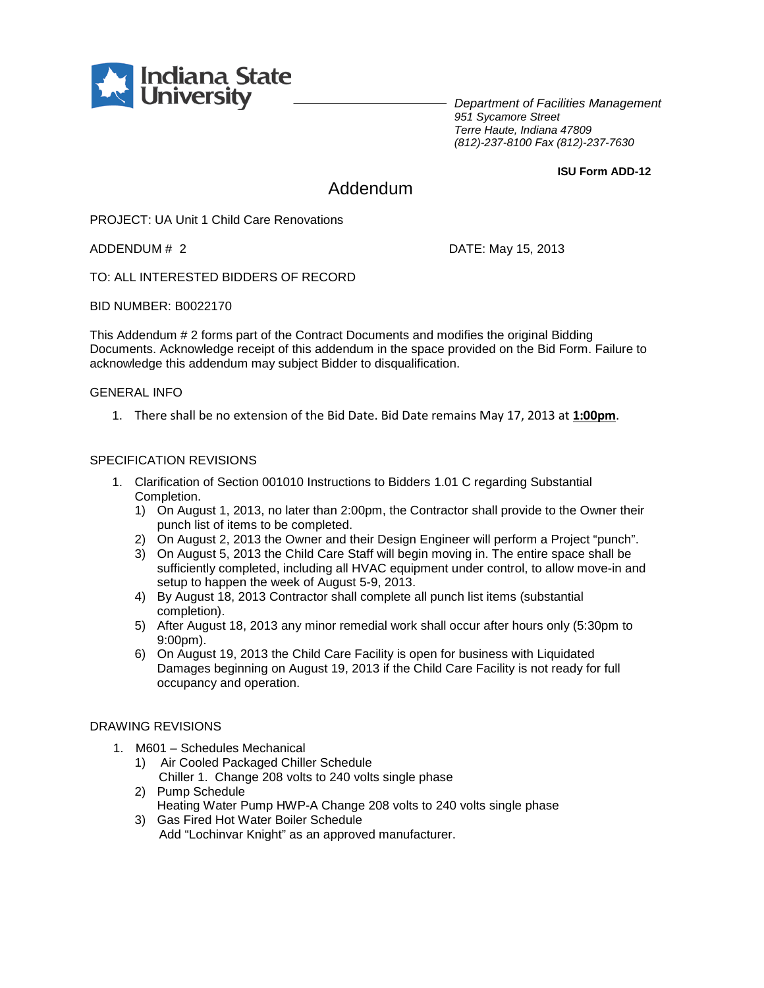

*Department of Facilities Management 951 Sycamore Street Terre Haute, Indiana 47809 (812)-237-8100 Fax (812)-237-7630*

**ISU Form ADD-12**

# Addendum

PROJECT: UA Unit 1 Child Care Renovations

ADDENDUM # 2 DATE: May 15, 2013

TO: ALL INTERESTED BIDDERS OF RECORD

BID NUMBER: B0022170

This Addendum # 2 forms part of the Contract Documents and modifies the original Bidding Documents. Acknowledge receipt of this addendum in the space provided on the Bid Form. Failure to acknowledge this addendum may subject Bidder to disqualification.

## GENERAL INFO

1. There shall be no extension of the Bid Date. Bid Date remains May 17, 2013 at **1:00pm**.

## SPECIFICATION REVISIONS

- 1. Clarification of Section 001010 Instructions to Bidders 1.01 C regarding Substantial Completion.
	- 1) On August 1, 2013, no later than 2:00pm, the Contractor shall provide to the Owner their punch list of items to be completed.
	- 2) On August 2, 2013 the Owner and their Design Engineer will perform a Project "punch".
	- 3) On August 5, 2013 the Child Care Staff will begin moving in. The entire space shall be sufficiently completed, including all HVAC equipment under control, to allow move-in and setup to happen the week of August 5-9, 2013.
	- 4) By August 18, 2013 Contractor shall complete all punch list items (substantial completion).
	- 5) After August 18, 2013 any minor remedial work shall occur after hours only (5:30pm to 9:00pm).
	- 6) On August 19, 2013 the Child Care Facility is open for business with Liquidated Damages beginning on August 19, 2013 if the Child Care Facility is not ready for full occupancy and operation.

#### DRAWING REVISIONS

- 1. M601 Schedules Mechanical
	- 1) Air Cooled Packaged Chiller Schedule
	- Chiller 1. Change 208 volts to 240 volts single phase 2) Pump Schedule
	- Heating Water Pump HWP-A Change 208 volts to 240 volts single phase
	- 3) Gas Fired Hot Water Boiler Schedule Add "Lochinvar Knight" as an approved manufacturer.